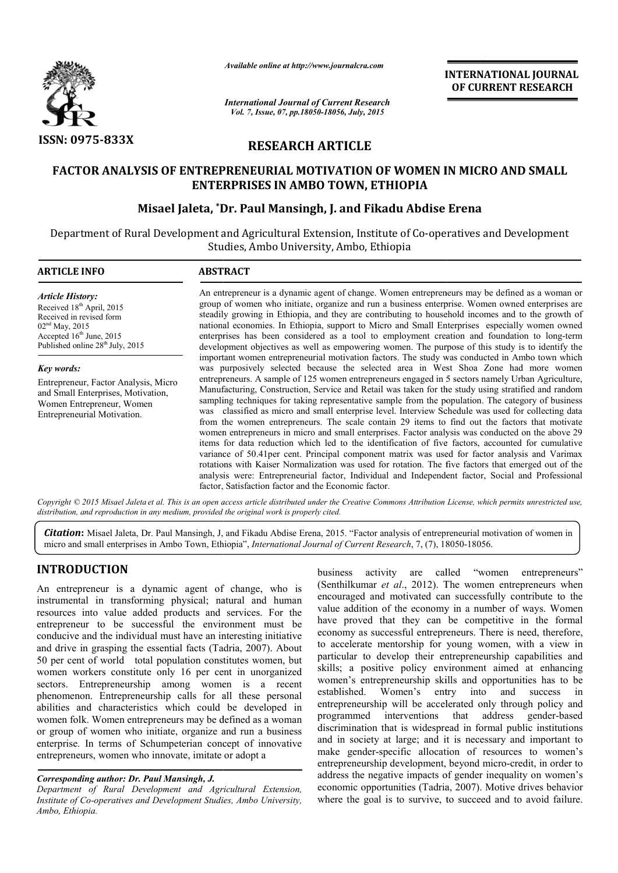

*Available online at http://www.journalcra.com*

*International Journal of Current Research Vol. 7, Issue, 07, pp.18050-18056, July, 2015*

**INTERNATIONAL INTERNATIONAL JOURNAL OF CURRENT RESEARCH** 

# **RESEARCH ARTICLE**

# FACTOR ANALYSIS OF ENTREPRENEURIAL MOTIVATION OF WOMEN IN MICRO AND SMALL<br>ENTERPRISES IN AMBO TOWN, ETHIOPIA<br>Misael Jaleta, \*Dr. Paul Mansingh, J. and Fikadu Abdise Erena **ENTERPRISES IN AMBO TOWN, ETHIOPIA**

# **Misael Jaleta, \*Dr. Dr. Paul Mansingh, J. and Fikadu Abdise**

Department of Rural Development and Agricultural Extension, Institute of Co-operatives and Development Studies, Ambo University, Ambo, Ethiopia

| <b>ARTICLE INFO</b>                                                                                                                                                                            | <b>ABSTRACT</b>                                                                                                                                                                                                                                                                                                                                                                                                                                                                                                                                                                                                                                                                                                                                                                                                                                                                                                                                                                                                                                                                                           |  |  |
|------------------------------------------------------------------------------------------------------------------------------------------------------------------------------------------------|-----------------------------------------------------------------------------------------------------------------------------------------------------------------------------------------------------------------------------------------------------------------------------------------------------------------------------------------------------------------------------------------------------------------------------------------------------------------------------------------------------------------------------------------------------------------------------------------------------------------------------------------------------------------------------------------------------------------------------------------------------------------------------------------------------------------------------------------------------------------------------------------------------------------------------------------------------------------------------------------------------------------------------------------------------------------------------------------------------------|--|--|
| <b>Article History:</b><br>Received 18 <sup>th</sup> April, 2015<br>Received in revised form<br>$02nd$ May, 2015<br>Accepted $16th$ June, 2015<br>Published online 28 <sup>th</sup> July, 2015 | An entrepreneur is a dynamic agent of change. Women entrepreneurs may be defined as a woman or<br>group of women who initiate, organize and run a business enterprise. Women owned enterprises are<br>steadily growing in Ethiopia, and they are contributing to household incomes and to the growth of<br>national economies. In Ethiopia, support to Micro and Small Enterprises especially women owned<br>enterprises has been considered as a tool to employment creation and foundation to long-term<br>development objectives as well as empowering women. The purpose of this study is to identify the                                                                                                                                                                                                                                                                                                                                                                                                                                                                                             |  |  |
| Key words:                                                                                                                                                                                     | important women entrepreneurial motivation factors. The study was conducted in Ambo town which<br>was purposively selected because the selected area in West Shoa Zone had more women                                                                                                                                                                                                                                                                                                                                                                                                                                                                                                                                                                                                                                                                                                                                                                                                                                                                                                                     |  |  |
| Entrepreneur, Factor Analysis, Micro<br>and Small Enterprises, Motivation,<br>Women Entrepreneur, Women<br>Entrepreneurial Motivation.                                                         | entrepreneurs. A sample of 125 women entrepreneurs engaged in 5 sectors namely Urban Agriculture,<br>Manufacturing, Construction, Service and Retail was taken for the study using stratified and random<br>sampling techniques for taking representative sample from the population. The category of business<br>was classified as micro and small enterprise level. Interview Schedule was used for collecting data<br>from the women entrepreneurs. The scale contain 29 items to find out the factors that motivate<br>women entrepreneurs in micro and small enterprises. Factor analysis was conducted on the above 29<br>items for data reduction which led to the identification of five factors, accounted for cumulative<br>variance of 50.41 per cent. Principal component matrix was used for factor analysis and Varimax<br>rotations with Kaiser Normalization was used for rotation. The five factors that emerged out of the<br>analysis were: Entrepreneurial factor, Individual and Independent factor, Social and Professional<br>factor, Satisfaction factor and the Economic factor. |  |  |

Copyright © 2015 Misael Jaleta et al. This is an open access article distributed under the Creative Commons Attribution License, which permits unrestricted use, *distribution, and reproduction in any medium, provided the original work is properly cited.*

Citation: Misael Jaleta, Dr. Paul Mansingh, J, and Fikadu Abdise Erena, 2015. "Factor analysis of entrepreneurial motivation of women in micro and small enterprises in Ambo Town, Ethiopia", *International Journal of Curren* micro and small enterprises in Ambo Town, Ethiopia", *International Journal of Current Research*, 7, (7), 18050

# **INTRODUCTION**

An entrepreneur is a dynamic agent of change, who is instrumental in transforming physical; natural and human resources into value added products and services. For the entrepreneur to be successful the environment must be conducive and the individual must have an interesting initiative and drive in grasping the essential facts (Tadria, 2007). About 50 per cent of world total population constitutes women, but women workers constitute only 16 per cent in unorganized sectors. Entrepreneurship among women is a recent phenomenon. Entrepreneurship calls for all these personal abilities and characteristics which could be developed in haracteristics women folk. Women entrepreneurs may be defined as a woman or group of women who initiate, organize and run a business enterprise. In terms of Schumpeterian concept of innovative entrepreneurs, women who innovate, imitate or adopt a

## *Corresponding author: Dr. Paul Mansingh, J.*

*Department of Rural Development and Agricultural Extension, Institute of Co-operatives and Development Studies, Ambo University, Ambo, Ethiopia.*

**CHON**<br> **business** activity are called "women entrepreneurs"<br>
in transforming physical; natural and human<br>
encouraged and motivated can successfully contribute to the<br>
in transforming physical; natural and human<br>
encourage (Senthilkumar *et al*., 2012). The women entrepreneurs when encouraged and motivated can successfully contribute to the encouraged and motivated can successfully contribute to the value addition of the economy in a number of ways. Women have proved that they can be competitive in the formal economy as successful entrepreneurs. There is need, therefore, to accelerate mentorship for young women, with a view in particular to develop their entrepreneurship capabilities and skills; a positive policy environment aimed at enhancing women's entrepreneurship skills and opportunities has to be established. Women's entry into and success in established. Women's entry into and success in entrepreneurship will be accelerated only through policy and programmed interventions that address gender discrimination that is widespread in formal public institutions and in society at large; and it is necessary and important to and in society at large; and it is necessary and important to make gender-specific allocation of resources to women's entrepreneurship development, beyond micro-credit, in order to address the negative impacts of gender inequality on women's economic opportunities (Tadria, 2007). Motive drives behavior where the goal is to survive, to succeed and to avoid failure. is a successful entrepreneurs. There is need, therefore, lerate mentorship for young women, with a view in ar to develop their entrepreneurship capabilities and a positive policy environment aimed at enhancing is entrepren **EXERCIS CONSTRANT INTERNATTONAL JOURNAL FORMAT CONSTRANT ON A CONSTRANT ON A 2015<br>
Search <b>EXERCIS CONSTRANT INTERNATTONAL FORMAT CONSTRANT CONSTRANT APPLIC TO THE CONSTRANT INTERNATTONAL FIG. (FINIT) FREMAT (FINIT) FREM**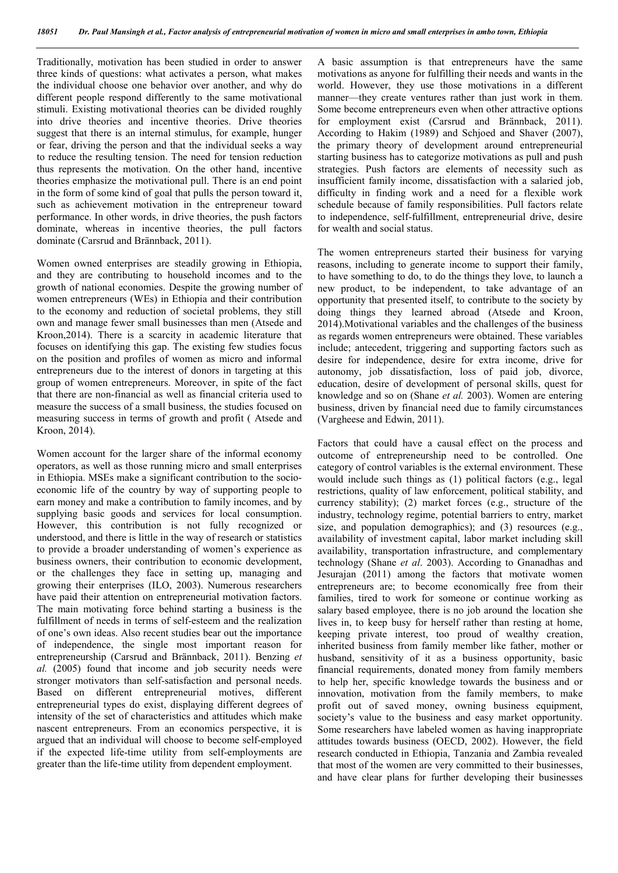Traditionally, motivation has been studied in order to answer three kinds of questions: what activates a person, what makes the individual choose one behavior over another, and why do different people respond differently to the same motivational stimuli. Existing motivational theories can be divided roughly into drive theories and incentive theories. Drive theories suggest that there is an internal stimulus, for example, hunger or fear, driving the person and that the individual seeks a way to reduce the resulting tension. The need for tension reduction thus represents the motivation. On the other hand, incentive theories emphasize the motivational pull. There is an end point in the form of some kind of goal that pulls the person toward it, such as achievement motivation in the entrepreneur toward performance. In other words, in drive theories, the push factors dominate, whereas in incentive theories, the pull factors dominate (Carsrud and Brännback, 2011).

Women owned enterprises are steadily growing in Ethiopia, and they are contributing to household incomes and to the growth of national economies. Despite the growing number of women entrepreneurs (WEs) in Ethiopia and their contribution to the economy and reduction of societal problems, they still own and manage fewer small businesses than men (Atsede and Kroon,2014). There is a scarcity in academic literature that focuses on identifying this gap. The existing few studies focus on the position and profiles of women as micro and informal entrepreneurs due to the interest of donors in targeting at this group of women entrepreneurs. Moreover, in spite of the fact that there are non-financial as well as financial criteria used to measure the success of a small business, the studies focused on measuring success in terms of growth and profit ( Atsede and Kroon, 2014).

Women account for the larger share of the informal economy operators, as well as those running micro and small enterprises in Ethiopia. MSEs make a significant contribution to the socioeconomic life of the country by way of supporting people to earn money and make a contribution to family incomes, and by supplying basic goods and services for local consumption. However, this contribution is not fully recognized or understood, and there is little in the way of research or statistics to provide a broader understanding of women's experience as business owners, their contribution to economic development, or the challenges they face in setting up, managing and growing their enterprises (ILO, 2003). Numerous researchers have paid their attention on entrepreneurial motivation factors. The main motivating force behind starting a business is the fulfillment of needs in terms of self-esteem and the realization of one's own ideas. Also recent studies bear out the importance of independence, the single most important reason for entrepreneurship (Carsrud and Brännback, 2011). Benzing *et al.* (2005) found that income and job security needs were stronger motivators than self-satisfaction and personal needs. Based on different entrepreneurial motives, different entrepreneurial types do exist, displaying different degrees of intensity of the set of characteristics and attitudes which make nascent entrepreneurs. From an economics perspective, it is argued that an individual will choose to become self-employed if the expected life-time utility from self-employments are greater than the life-time utility from dependent employment.

A basic assumption is that entrepreneurs have the same motivations as anyone for fulfilling their needs and wants in the world. However, they use those motivations in a different manner—they create ventures rather than just work in them. Some become entrepreneurs even when other attractive options for employment exist (Carsrud and Brännback, 2011). According to Hakim (1989) and Schjoed and Shaver (2007), the primary theory of development around entrepreneurial starting business has to categorize motivations as pull and push strategies. Push factors are elements of necessity such as insufficient family income, dissatisfaction with a salaried job, difficulty in finding work and a need for a flexible work schedule because of family responsibilities. Pull factors relate to independence, self-fulfillment, entrepreneurial drive, desire for wealth and social status.

The women entrepreneurs started their business for varying reasons, including to generate income to support their family, to have something to do, to do the things they love, to launch a new product, to be independent, to take advantage of an opportunity that presented itself, to contribute to the society by doing things they learned abroad (Atsede and Kroon, 2014).Motivational variables and the challenges of the business as regards women entrepreneurs were obtained. These variables include; antecedent, triggering and supporting factors such as desire for independence, desire for extra income, drive for autonomy, job dissatisfaction, loss of paid job, divorce, education, desire of development of personal skills, quest for knowledge and so on (Shane *et al.* 2003). Women are entering business, driven by financial need due to family circumstances (Vargheese and Edwin, 2011).

Factors that could have a causal effect on the process and outcome of entrepreneurship need to be controlled. One category of control variables is the external environment. These would include such things as (1) political factors (e.g., legal restrictions, quality of law enforcement, political stability, and currency stability); (2) market forces (e.g., structure of the industry, technology regime, potential barriers to entry, market size, and population demographics); and (3) resources (e.g., availability of investment capital, labor market including skill availability, transportation infrastructure, and complementary technology (Shane *et al*. 2003). According to Gnanadhas and Jesurajan (2011) among the factors that motivate women entrepreneurs are; to become economically free from their families, tired to work for someone or continue working as salary based employee, there is no job around the location she lives in, to keep busy for herself rather than resting at home, keeping private interest, too proud of wealthy creation, inherited business from family member like father, mother or husband, sensitivity of it as a business opportunity, basic financial requirements, donated money from family members to help her, specific knowledge towards the business and or innovation, motivation from the family members, to make profit out of saved money, owning business equipment, society's value to the business and easy market opportunity. Some researchers have labeled women as having inappropriate attitudes towards business (OECD, 2002). However, the field research conducted in Ethiopia, Tanzania and Zambia revealed that most of the women are very committed to their businesses, and have clear plans for further developing their businesses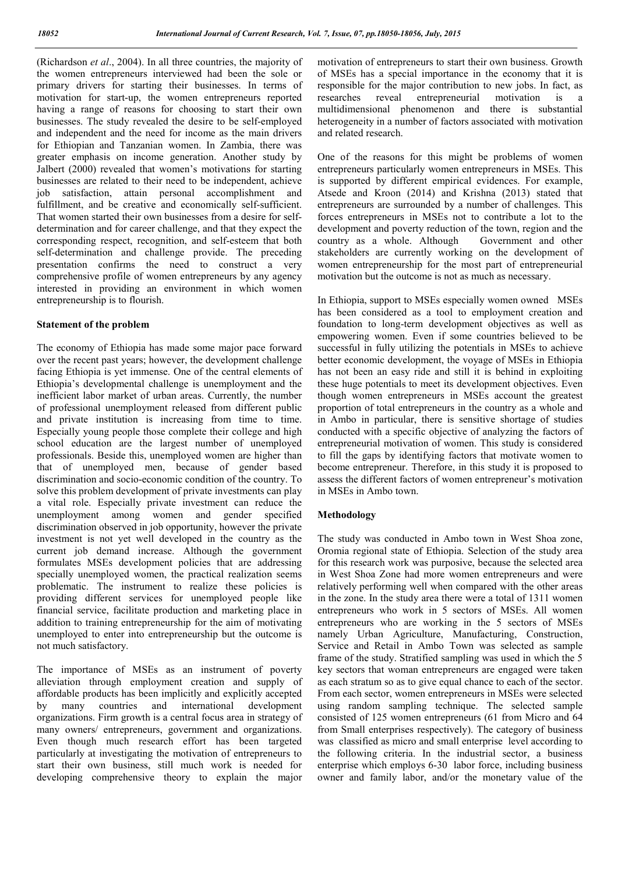(Richardson *et al*., 2004). In all three countries, the majority of the women entrepreneurs interviewed had been the sole or primary drivers for starting their businesses. In terms of motivation for start-up, the women entrepreneurs reported having a range of reasons for choosing to start their own businesses. The study revealed the desire to be self-employed and independent and the need for income as the main drivers for Ethiopian and Tanzanian women. In Zambia, there was greater emphasis on income generation. Another study by Jalbert (2000) revealed that women's motivations for starting businesses are related to their need to be independent, achieve job satisfaction, attain personal accomplishment and fulfillment, and be creative and economically self-sufficient. That women started their own businesses from a desire for selfdetermination and for career challenge, and that they expect the corresponding respect, recognition, and self-esteem that both self-determination and challenge provide. The preceding presentation confirms the need to construct a very comprehensive profile of women entrepreneurs by any agency interested in providing an environment in which women entrepreneurship is to flourish.

### **Statement of the problem**

The economy of Ethiopia has made some major pace forward over the recent past years; however, the development challenge facing Ethiopia is yet immense. One of the central elements of Ethiopia's developmental challenge is unemployment and the inefficient labor market of urban areas. Currently, the number of professional unemployment released from different public and private institution is increasing from time to time. Especially young people those complete their college and high school education are the largest number of unemployed professionals. Beside this, unemployed women are higher than that of unemployed men, because of gender based discrimination and socio-economic condition of the country. To solve this problem development of private investments can play a vital role. Especially private investment can reduce the unemployment among women and gender specified discrimination observed in job opportunity, however the private investment is not yet well developed in the country as the current job demand increase. Although the government formulates MSEs development policies that are addressing specially unemployed women, the practical realization seems problematic. The instrument to realize these policies is providing different services for unemployed people like financial service, facilitate production and marketing place in addition to training entrepreneurship for the aim of motivating unemployed to enter into entrepreneurship but the outcome is not much satisfactory.

The importance of MSEs as an instrument of poverty alleviation through employment creation and supply of affordable products has been implicitly and explicitly accepted by many countries and international development organizations. Firm growth is a central focus area in strategy of many owners/ entrepreneurs, government and organizations. Even though much research effort has been targeted particularly at investigating the motivation of entrepreneurs to start their own business, still much work is needed for developing comprehensive theory to explain the major motivation of entrepreneurs to start their own business. Growth of MSEs has a special importance in the economy that it is responsible for the major contribution to new jobs. In fact, as researches reveal entrepreneurial motivation is a multidimensional phenomenon and there is substantial heterogeneity in a number of factors associated with motivation and related research.

One of the reasons for this might be problems of women entrepreneurs particularly women entrepreneurs in MSEs. This is supported by different empirical evidences. For example, Atsede and Kroon (2014) and Krishna (2013) stated that entrepreneurs are surrounded by a number of challenges. This forces entrepreneurs in MSEs not to contribute a lot to the development and poverty reduction of the town, region and the country as a whole. Although Government and other stakeholders are currently working on the development of women entrepreneurship for the most part of entrepreneurial motivation but the outcome is not as much as necessary.

In Ethiopia, support to MSEs especially women owned MSEs has been considered as a tool to employment creation and foundation to long-term development objectives as well as empowering women. Even if some countries believed to be successful in fully utilizing the potentials in MSEs to achieve better economic development, the voyage of MSEs in Ethiopia has not been an easy ride and still it is behind in exploiting these huge potentials to meet its development objectives. Even though women entrepreneurs in MSEs account the greatest proportion of total entrepreneurs in the country as a whole and in Ambo in particular, there is sensitive shortage of studies conducted with a specific objective of analyzing the factors of entrepreneurial motivation of women. This study is considered to fill the gaps by identifying factors that motivate women to become entrepreneur. Therefore, in this study it is proposed to assess the different factors of women entrepreneur's motivation in MSEs in Ambo town.

### **Methodology**

The study was conducted in Ambo town in West Shoa zone, Oromia regional state of Ethiopia. Selection of the study area for this research work was purposive, because the selected area in West Shoa Zone had more women entrepreneurs and were relatively performing well when compared with the other areas in the zone. In the study area there were a total of 1311 women entrepreneurs who work in 5 sectors of MSEs. All women entrepreneurs who are working in the 5 sectors of MSEs namely Urban Agriculture, Manufacturing, Construction, Service and Retail in Ambo Town was selected as sample frame of the study. Stratified sampling was used in which the 5 key sectors that woman entrepreneurs are engaged were taken as each stratum so as to give equal chance to each of the sector. From each sector, women entrepreneurs in MSEs were selected using random sampling technique. The selected sample consisted of 125 women entrepreneurs (61 from Micro and 64 from Small enterprises respectively). The category of business was classified as micro and small enterprise level according to the following criteria. In the industrial sector, a business enterprise which employs 6-30 labor force, including business owner and family labor, and/or the monetary value of the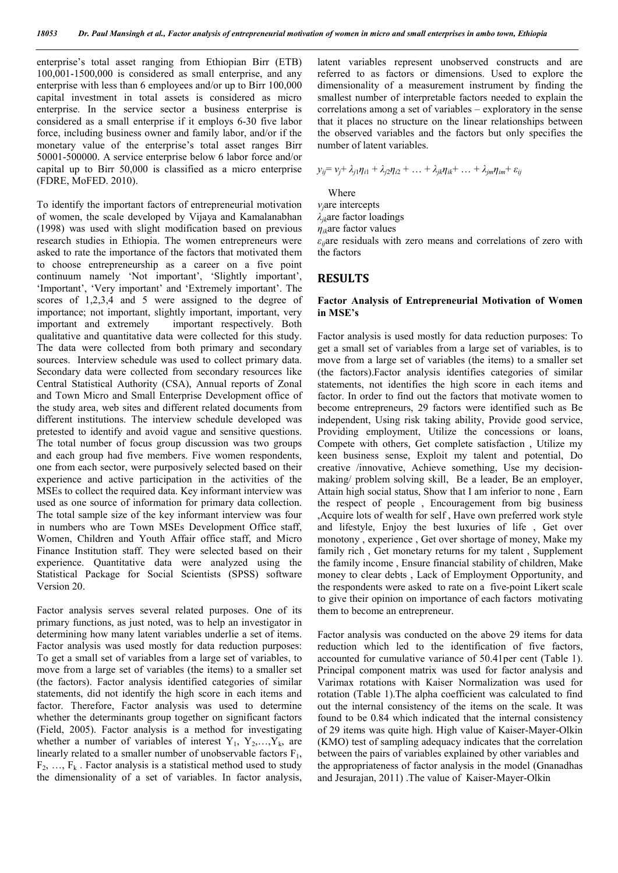enterprise's total asset ranging from Ethiopian Birr (ETB) 100,001-1500,000 is considered as small enterprise, and any enterprise with less than 6 employees and/or up to Birr 100,000 capital investment in total assets is considered as micro enterprise. In the service sector a business enterprise is considered as a small enterprise if it employs 6-30 five labor force, including business owner and family labor, and/or if the monetary value of the enterprise's total asset ranges Birr 50001-500000. A service enterprise below 6 labor force and/or capital up to Birr 50,000 is classified as a micro enterprise (FDRE, MoFED. 2010).

To identify the important factors of entrepreneurial motivation of women, the scale developed by Vijaya and Kamalanabhan (1998) was used with slight modification based on previous research studies in Ethiopia. The women entrepreneurs were asked to rate the importance of the factors that motivated them to choose entrepreneurship as a career on a five point continuum namely 'Not important', 'Slightly important', 'Important', 'Very important' and 'Extremely important'. The scores of 1,2,3,4 and 5 were assigned to the degree of importance; not important, slightly important, important, very<br>important and extremely important respectively. Both important respectively. Both qualitative and quantitative data were collected for this study. The data were collected from both primary and secondary sources. Interview schedule was used to collect primary data. Secondary data were collected from secondary resources like Central Statistical Authority (CSA), Annual reports of Zonal and Town Micro and Small Enterprise Development office of the study area, web sites and different related documents from different institutions. The interview schedule developed was pretested to identify and avoid vague and sensitive questions. The total number of focus group discussion was two groups and each group had five members. Five women respondents, one from each sector, were purposively selected based on their experience and active participation in the activities of the MSEs to collect the required data. Key informant interview was used as one source of information for primary data collection. The total sample size of the key informant interview was four in numbers who are Town MSEs Development Office staff, Women, Children and Youth Affair office staff, and Micro Finance Institution staff. They were selected based on their experience. Quantitative data were analyzed using the Statistical Package for Social Scientists (SPSS) software Version 20.

Factor analysis serves several related purposes. One of its primary functions, as just noted, was to help an investigator in determining how many latent variables underlie a set of items. Factor analysis was used mostly for data reduction purposes: To get a small set of variables from a large set of variables, to move from a large set of variables (the items) to a smaller set (the factors). Factor analysis identified categories of similar statements, did not identify the high score in each items and factor. Therefore, Factor analysis was used to determine whether the determinants group together on significant factors (Field, 2005). Factor analysis is a method for investigating whether a number of variables of interest  $Y_1, Y_2, \ldots, Y_k$ , are linearly related to a smaller number of unobservable factors  $F_1$ ,  $F_2, \ldots, F_k$ . Factor analysis is a statistical method used to study the dimensionality of a set of variables. In factor analysis, latent variables represent unobserved constructs and are referred to as factors or dimensions. Used to explore the dimensionality of a measurement instrument by finding the smallest number of interpretable factors needed to explain the correlations among a set of variables – exploratory in the sense that it places no structure on the linear relationships between the observed variables and the factors but only specifies the number of latent variables.

$$
y_{ij} = v_j + \lambda_{j1}\eta_{i1} + \lambda_{j2}\eta_{i2} + \dots + \lambda_{jk}\eta_{ik} + \dots + \lambda_{jm}\eta_{im} + \varepsilon_{ij}
$$

**Where** 

*νj*are intercepts

*λjk*are factor loadings

*ηik*are factor values

*εij*are residuals with zero means and correlations of zero with the factors

### **RESULTS**

#### **Factor Analysis of Entrepreneurial Motivation of Women in MSE's**

Factor analysis is used mostly for data reduction purposes: To get a small set of variables from a large set of variables, is to move from a large set of variables (the items) to a smaller set (the factors).Factor analysis identifies categories of similar statements, not identifies the high score in each items and factor. In order to find out the factors that motivate women to become entrepreneurs, 29 factors were identified such as Be independent, Using risk taking ability, Provide good service, Providing employment, Utilize the concessions or loans, Compete with others, Get complete satisfaction , Utilize my keen business sense, Exploit my talent and potential, Do creative /innovative, Achieve something, Use my decisionmaking/ problem solving skill, Be a leader, Be an employer, Attain high social status, Show that I am inferior to none , Earn the respect of people , Encouragement from big business ,Acquire lots of wealth for self , Have own preferred work style and lifestyle, Enjoy the best luxuries of life , Get over monotony , experience , Get over shortage of money, Make my family rich , Get monetary returns for my talent , Supplement the family income , Ensure financial stability of children, Make money to clear debts , Lack of Employment Opportunity, and the respondents were asked to rate on a five-point Likert scale to give their opinion on importance of each factors motivating them to become an entrepreneur.

Factor analysis was conducted on the above 29 items for data reduction which led to the identification of five factors, accounted for cumulative variance of 50.41per cent (Table 1). Principal component matrix was used for factor analysis and Varimax rotations with Kaiser Normalization was used for rotation (Table 1).The alpha coefficient was calculated to find out the internal consistency of the items on the scale. It was found to be 0.84 which indicated that the internal consistency of 29 items was quite high. High value of Kaiser-Mayer-Olkin (KMO) test of sampling adequacy indicates that the correlation between the pairs of variables explained by other variables and the appropriateness of factor analysis in the model (Gnanadhas and Jesurajan, 2011) .The value of Kaiser-Mayer-Olkin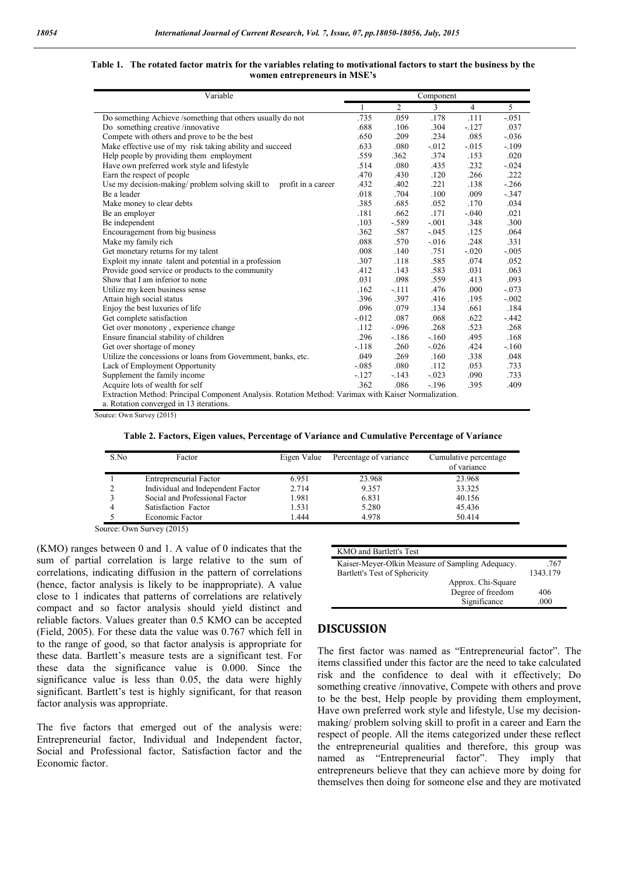| $\overline{3}$<br>5<br>2<br>$\overline{4}$<br>1<br>.059<br>.735<br>.178<br>.111<br>$-.051$<br>Do something Achieve /something that others usually do not<br>.304<br>.037<br>Do something creative /innovative<br>.688<br>.106<br>$-.127$<br>.234<br>.085<br>Compete with others and prove to be the best<br>.209<br>$-.036$<br>.650<br>Make effective use of my risk taking ability and succeed<br>.080<br>$-.012$<br>$-.015$<br>$-.109$<br>.633<br>.374<br>.020<br>Help people by providing them employment<br>.559<br>.362<br>.153<br>Have own preferred work style and lifestyle<br>.514<br>.080<br>.435<br>.232<br>$-.024$<br>.222<br>Earn the respect of people<br>.470<br>.430<br>.120<br>.266<br>Use my decision-making/problem solving skill to<br>.402<br>.221<br>.138<br>$-266$<br>.432<br>profit in a career<br>.018<br>.704<br>.100<br>.009<br>$-.347$<br>Be a leader<br>.034<br>.385<br>.685<br>.052<br>.170<br>Make money to clear debts<br>Be an employer<br>.662<br>.171<br>$-.040$<br>.021<br>.181<br>$-.589$<br>$-.001$<br>.300<br>Be independent<br>.103<br>.348<br>.587<br>$-.045$<br>.125<br>Encouragement from big business<br>.362<br>.064<br>Make my family rich<br>.088<br>.570<br>.248<br>.331<br>$-.016$<br>Get monetary returns for my talent<br>.008<br>.751<br>$-.020$<br>$-.005$<br>.140<br>.585<br>Exploit my innate talent and potential in a profession<br>.118<br>.074<br>.052<br>.307<br>.583<br>.031<br>Provide good service or products to the community<br>.412<br>.143<br>.063<br>Show that I am inferior to none<br>.031<br>.098<br>.559<br>.413<br>.093<br>.162<br>$-.111$<br>.476<br>.000<br>Utilize my keen business sense<br>$-.073$<br>Attain high social status<br>.396<br>.397<br>.416<br>$-.002$<br>.195<br>Enjoy the best luxuries of life<br>.096<br>.079<br>.134<br>.661<br>.184<br>.087<br>Get complete satisfaction<br>$-0.012$<br>.068<br>.622<br>$-442$<br>.268<br>.268<br>Get over monotony, experience change<br>.112<br>$-.096$<br>.523<br>Ensure financial stability of children<br>.296<br>.495<br>.168<br>$-.186$<br>$-.160$<br>.424<br>Get over shortage of money<br>$-.118$<br>.260<br>$-.026$<br>$-.160$<br>Utilize the concessions or loans from Government, banks, etc.<br>.049<br>.269<br>.338<br>.160<br>.048<br>Lack of Employment Opportunity<br>$-.085$<br>.080<br>.112<br>.053<br>.733<br>Supplement the family income<br>$-127$<br>$-.143$<br>$-.023$<br>.090<br>.733<br>.362<br>.086<br>Acquire lots of wealth for self<br>$-.196$<br>.395<br>.409 | Variable |  | Component |  |  |  |
|-------------------------------------------------------------------------------------------------------------------------------------------------------------------------------------------------------------------------------------------------------------------------------------------------------------------------------------------------------------------------------------------------------------------------------------------------------------------------------------------------------------------------------------------------------------------------------------------------------------------------------------------------------------------------------------------------------------------------------------------------------------------------------------------------------------------------------------------------------------------------------------------------------------------------------------------------------------------------------------------------------------------------------------------------------------------------------------------------------------------------------------------------------------------------------------------------------------------------------------------------------------------------------------------------------------------------------------------------------------------------------------------------------------------------------------------------------------------------------------------------------------------------------------------------------------------------------------------------------------------------------------------------------------------------------------------------------------------------------------------------------------------------------------------------------------------------------------------------------------------------------------------------------------------------------------------------------------------------------------------------------------------------------------------------------------------------------------------------------------------------------------------------------------------------------------------------------------------------------------------------------------------------------------------------------------------------------------------------------------------------------------------------------------------------------------------------------------------------------------------------------------------------------|----------|--|-----------|--|--|--|
|                                                                                                                                                                                                                                                                                                                                                                                                                                                                                                                                                                                                                                                                                                                                                                                                                                                                                                                                                                                                                                                                                                                                                                                                                                                                                                                                                                                                                                                                                                                                                                                                                                                                                                                                                                                                                                                                                                                                                                                                                                                                                                                                                                                                                                                                                                                                                                                                                                                                                                                               |          |  |           |  |  |  |
|                                                                                                                                                                                                                                                                                                                                                                                                                                                                                                                                                                                                                                                                                                                                                                                                                                                                                                                                                                                                                                                                                                                                                                                                                                                                                                                                                                                                                                                                                                                                                                                                                                                                                                                                                                                                                                                                                                                                                                                                                                                                                                                                                                                                                                                                                                                                                                                                                                                                                                                               |          |  |           |  |  |  |
|                                                                                                                                                                                                                                                                                                                                                                                                                                                                                                                                                                                                                                                                                                                                                                                                                                                                                                                                                                                                                                                                                                                                                                                                                                                                                                                                                                                                                                                                                                                                                                                                                                                                                                                                                                                                                                                                                                                                                                                                                                                                                                                                                                                                                                                                                                                                                                                                                                                                                                                               |          |  |           |  |  |  |
|                                                                                                                                                                                                                                                                                                                                                                                                                                                                                                                                                                                                                                                                                                                                                                                                                                                                                                                                                                                                                                                                                                                                                                                                                                                                                                                                                                                                                                                                                                                                                                                                                                                                                                                                                                                                                                                                                                                                                                                                                                                                                                                                                                                                                                                                                                                                                                                                                                                                                                                               |          |  |           |  |  |  |
|                                                                                                                                                                                                                                                                                                                                                                                                                                                                                                                                                                                                                                                                                                                                                                                                                                                                                                                                                                                                                                                                                                                                                                                                                                                                                                                                                                                                                                                                                                                                                                                                                                                                                                                                                                                                                                                                                                                                                                                                                                                                                                                                                                                                                                                                                                                                                                                                                                                                                                                               |          |  |           |  |  |  |
|                                                                                                                                                                                                                                                                                                                                                                                                                                                                                                                                                                                                                                                                                                                                                                                                                                                                                                                                                                                                                                                                                                                                                                                                                                                                                                                                                                                                                                                                                                                                                                                                                                                                                                                                                                                                                                                                                                                                                                                                                                                                                                                                                                                                                                                                                                                                                                                                                                                                                                                               |          |  |           |  |  |  |
|                                                                                                                                                                                                                                                                                                                                                                                                                                                                                                                                                                                                                                                                                                                                                                                                                                                                                                                                                                                                                                                                                                                                                                                                                                                                                                                                                                                                                                                                                                                                                                                                                                                                                                                                                                                                                                                                                                                                                                                                                                                                                                                                                                                                                                                                                                                                                                                                                                                                                                                               |          |  |           |  |  |  |
|                                                                                                                                                                                                                                                                                                                                                                                                                                                                                                                                                                                                                                                                                                                                                                                                                                                                                                                                                                                                                                                                                                                                                                                                                                                                                                                                                                                                                                                                                                                                                                                                                                                                                                                                                                                                                                                                                                                                                                                                                                                                                                                                                                                                                                                                                                                                                                                                                                                                                                                               |          |  |           |  |  |  |
|                                                                                                                                                                                                                                                                                                                                                                                                                                                                                                                                                                                                                                                                                                                                                                                                                                                                                                                                                                                                                                                                                                                                                                                                                                                                                                                                                                                                                                                                                                                                                                                                                                                                                                                                                                                                                                                                                                                                                                                                                                                                                                                                                                                                                                                                                                                                                                                                                                                                                                                               |          |  |           |  |  |  |
|                                                                                                                                                                                                                                                                                                                                                                                                                                                                                                                                                                                                                                                                                                                                                                                                                                                                                                                                                                                                                                                                                                                                                                                                                                                                                                                                                                                                                                                                                                                                                                                                                                                                                                                                                                                                                                                                                                                                                                                                                                                                                                                                                                                                                                                                                                                                                                                                                                                                                                                               |          |  |           |  |  |  |
|                                                                                                                                                                                                                                                                                                                                                                                                                                                                                                                                                                                                                                                                                                                                                                                                                                                                                                                                                                                                                                                                                                                                                                                                                                                                                                                                                                                                                                                                                                                                                                                                                                                                                                                                                                                                                                                                                                                                                                                                                                                                                                                                                                                                                                                                                                                                                                                                                                                                                                                               |          |  |           |  |  |  |
|                                                                                                                                                                                                                                                                                                                                                                                                                                                                                                                                                                                                                                                                                                                                                                                                                                                                                                                                                                                                                                                                                                                                                                                                                                                                                                                                                                                                                                                                                                                                                                                                                                                                                                                                                                                                                                                                                                                                                                                                                                                                                                                                                                                                                                                                                                                                                                                                                                                                                                                               |          |  |           |  |  |  |
|                                                                                                                                                                                                                                                                                                                                                                                                                                                                                                                                                                                                                                                                                                                                                                                                                                                                                                                                                                                                                                                                                                                                                                                                                                                                                                                                                                                                                                                                                                                                                                                                                                                                                                                                                                                                                                                                                                                                                                                                                                                                                                                                                                                                                                                                                                                                                                                                                                                                                                                               |          |  |           |  |  |  |
|                                                                                                                                                                                                                                                                                                                                                                                                                                                                                                                                                                                                                                                                                                                                                                                                                                                                                                                                                                                                                                                                                                                                                                                                                                                                                                                                                                                                                                                                                                                                                                                                                                                                                                                                                                                                                                                                                                                                                                                                                                                                                                                                                                                                                                                                                                                                                                                                                                                                                                                               |          |  |           |  |  |  |
|                                                                                                                                                                                                                                                                                                                                                                                                                                                                                                                                                                                                                                                                                                                                                                                                                                                                                                                                                                                                                                                                                                                                                                                                                                                                                                                                                                                                                                                                                                                                                                                                                                                                                                                                                                                                                                                                                                                                                                                                                                                                                                                                                                                                                                                                                                                                                                                                                                                                                                                               |          |  |           |  |  |  |
|                                                                                                                                                                                                                                                                                                                                                                                                                                                                                                                                                                                                                                                                                                                                                                                                                                                                                                                                                                                                                                                                                                                                                                                                                                                                                                                                                                                                                                                                                                                                                                                                                                                                                                                                                                                                                                                                                                                                                                                                                                                                                                                                                                                                                                                                                                                                                                                                                                                                                                                               |          |  |           |  |  |  |
|                                                                                                                                                                                                                                                                                                                                                                                                                                                                                                                                                                                                                                                                                                                                                                                                                                                                                                                                                                                                                                                                                                                                                                                                                                                                                                                                                                                                                                                                                                                                                                                                                                                                                                                                                                                                                                                                                                                                                                                                                                                                                                                                                                                                                                                                                                                                                                                                                                                                                                                               |          |  |           |  |  |  |
|                                                                                                                                                                                                                                                                                                                                                                                                                                                                                                                                                                                                                                                                                                                                                                                                                                                                                                                                                                                                                                                                                                                                                                                                                                                                                                                                                                                                                                                                                                                                                                                                                                                                                                                                                                                                                                                                                                                                                                                                                                                                                                                                                                                                                                                                                                                                                                                                                                                                                                                               |          |  |           |  |  |  |
|                                                                                                                                                                                                                                                                                                                                                                                                                                                                                                                                                                                                                                                                                                                                                                                                                                                                                                                                                                                                                                                                                                                                                                                                                                                                                                                                                                                                                                                                                                                                                                                                                                                                                                                                                                                                                                                                                                                                                                                                                                                                                                                                                                                                                                                                                                                                                                                                                                                                                                                               |          |  |           |  |  |  |
|                                                                                                                                                                                                                                                                                                                                                                                                                                                                                                                                                                                                                                                                                                                                                                                                                                                                                                                                                                                                                                                                                                                                                                                                                                                                                                                                                                                                                                                                                                                                                                                                                                                                                                                                                                                                                                                                                                                                                                                                                                                                                                                                                                                                                                                                                                                                                                                                                                                                                                                               |          |  |           |  |  |  |
|                                                                                                                                                                                                                                                                                                                                                                                                                                                                                                                                                                                                                                                                                                                                                                                                                                                                                                                                                                                                                                                                                                                                                                                                                                                                                                                                                                                                                                                                                                                                                                                                                                                                                                                                                                                                                                                                                                                                                                                                                                                                                                                                                                                                                                                                                                                                                                                                                                                                                                                               |          |  |           |  |  |  |
|                                                                                                                                                                                                                                                                                                                                                                                                                                                                                                                                                                                                                                                                                                                                                                                                                                                                                                                                                                                                                                                                                                                                                                                                                                                                                                                                                                                                                                                                                                                                                                                                                                                                                                                                                                                                                                                                                                                                                                                                                                                                                                                                                                                                                                                                                                                                                                                                                                                                                                                               |          |  |           |  |  |  |
|                                                                                                                                                                                                                                                                                                                                                                                                                                                                                                                                                                                                                                                                                                                                                                                                                                                                                                                                                                                                                                                                                                                                                                                                                                                                                                                                                                                                                                                                                                                                                                                                                                                                                                                                                                                                                                                                                                                                                                                                                                                                                                                                                                                                                                                                                                                                                                                                                                                                                                                               |          |  |           |  |  |  |
|                                                                                                                                                                                                                                                                                                                                                                                                                                                                                                                                                                                                                                                                                                                                                                                                                                                                                                                                                                                                                                                                                                                                                                                                                                                                                                                                                                                                                                                                                                                                                                                                                                                                                                                                                                                                                                                                                                                                                                                                                                                                                                                                                                                                                                                                                                                                                                                                                                                                                                                               |          |  |           |  |  |  |
|                                                                                                                                                                                                                                                                                                                                                                                                                                                                                                                                                                                                                                                                                                                                                                                                                                                                                                                                                                                                                                                                                                                                                                                                                                                                                                                                                                                                                                                                                                                                                                                                                                                                                                                                                                                                                                                                                                                                                                                                                                                                                                                                                                                                                                                                                                                                                                                                                                                                                                                               |          |  |           |  |  |  |
|                                                                                                                                                                                                                                                                                                                                                                                                                                                                                                                                                                                                                                                                                                                                                                                                                                                                                                                                                                                                                                                                                                                                                                                                                                                                                                                                                                                                                                                                                                                                                                                                                                                                                                                                                                                                                                                                                                                                                                                                                                                                                                                                                                                                                                                                                                                                                                                                                                                                                                                               |          |  |           |  |  |  |
|                                                                                                                                                                                                                                                                                                                                                                                                                                                                                                                                                                                                                                                                                                                                                                                                                                                                                                                                                                                                                                                                                                                                                                                                                                                                                                                                                                                                                                                                                                                                                                                                                                                                                                                                                                                                                                                                                                                                                                                                                                                                                                                                                                                                                                                                                                                                                                                                                                                                                                                               |          |  |           |  |  |  |
|                                                                                                                                                                                                                                                                                                                                                                                                                                                                                                                                                                                                                                                                                                                                                                                                                                                                                                                                                                                                                                                                                                                                                                                                                                                                                                                                                                                                                                                                                                                                                                                                                                                                                                                                                                                                                                                                                                                                                                                                                                                                                                                                                                                                                                                                                                                                                                                                                                                                                                                               |          |  |           |  |  |  |
|                                                                                                                                                                                                                                                                                                                                                                                                                                                                                                                                                                                                                                                                                                                                                                                                                                                                                                                                                                                                                                                                                                                                                                                                                                                                                                                                                                                                                                                                                                                                                                                                                                                                                                                                                                                                                                                                                                                                                                                                                                                                                                                                                                                                                                                                                                                                                                                                                                                                                                                               |          |  |           |  |  |  |
|                                                                                                                                                                                                                                                                                                                                                                                                                                                                                                                                                                                                                                                                                                                                                                                                                                                                                                                                                                                                                                                                                                                                                                                                                                                                                                                                                                                                                                                                                                                                                                                                                                                                                                                                                                                                                                                                                                                                                                                                                                                                                                                                                                                                                                                                                                                                                                                                                                                                                                                               |          |  |           |  |  |  |
| Extraction Method: Principal Component Analysis. Rotation Method: Varimax with Kaiser Normalization.                                                                                                                                                                                                                                                                                                                                                                                                                                                                                                                                                                                                                                                                                                                                                                                                                                                                                                                                                                                                                                                                                                                                                                                                                                                                                                                                                                                                                                                                                                                                                                                                                                                                                                                                                                                                                                                                                                                                                                                                                                                                                                                                                                                                                                                                                                                                                                                                                          |          |  |           |  |  |  |
| a. Rotation converged in 13 iterations.                                                                                                                                                                                                                                                                                                                                                                                                                                                                                                                                                                                                                                                                                                                                                                                                                                                                                                                                                                                                                                                                                                                                                                                                                                                                                                                                                                                                                                                                                                                                                                                                                                                                                                                                                                                                                                                                                                                                                                                                                                                                                                                                                                                                                                                                                                                                                                                                                                                                                       |          |  |           |  |  |  |

#### **Table 1. The rotated factor matrix for the variables relating to motivational factors to start the business by the women entrepreneurs in MSE's**

Source: Own Survey (2015)

**Table 2. Factors, Eigen values, Percentage of Variance and Cumulative Percentage of Variance**

| S.No | Factor                            | Eigen Value | Percentage of variance | Cumulative percentage<br>of variance |
|------|-----------------------------------|-------------|------------------------|--------------------------------------|
|      | Entrepreneurial Factor            | 6.951       | 23.968                 | 23.968                               |
|      | Individual and Independent Factor | 2.714       | 9.357                  | 33.325                               |
|      | Social and Professional Factor    | 1.981       | 6.831                  | 40.156                               |
|      | Satisfaction Factor               | 1.531       | 5.280                  | 45.436                               |
|      | Economic Factor                   | 1.444       | 4.978                  | 50.414                               |

Source: Own Survey (2015)

(KMO) ranges between 0 and 1. A value of 0 indicates that the sum of partial correlation is large relative to the sum of correlations, indicating diffusion in the pattern of correlations (hence, factor analysis is likely to be inappropriate). A value close to 1 indicates that patterns of correlations are relatively compact and so factor analysis should yield distinct and reliable factors. Values greater than 0.5 KMO can be accepted (Field, 2005). For these data the value was 0.767 which fell in to the range of good, so that factor analysis is appropriate for these data. Bartlett's measure tests are a significant test. For these data the significance value is 0.000. Since the significance value is less than 0.05, the data were highly significant. Bartlett's test is highly significant, for that reason factor analysis was appropriate.

The five factors that emerged out of the analysis were: Entrepreneurial factor, Individual and Independent factor, Social and Professional factor, Satisfaction factor and the Economic factor.

| KMO and Bartlett's Test                          |          |
|--------------------------------------------------|----------|
| Kaiser-Meyer-Olkin Measure of Sampling Adequacy. | .767     |
| Bartlett's Test of Sphericity                    | 1343.179 |
| Approx. Chi-Square                               |          |
| Degree of freedom                                | 406      |
| Significance                                     | .000     |

## **DISCUSSION**

The first factor was named as "Entrepreneurial factor". The items classified under this factor are the need to take calculated risk and the confidence to deal with it effectively; Do something creative /innovative, Compete with others and prove to be the best, Help people by providing them employment, Have own preferred work style and lifestyle, Use my decisionmaking/ problem solving skill to profit in a career and Earn the respect of people. All the items categorized under these reflect the entrepreneurial qualities and therefore, this group was named as "Entrepreneurial factor". They imply that entrepreneurs believe that they can achieve more by doing for themselves then doing for someone else and they are motivated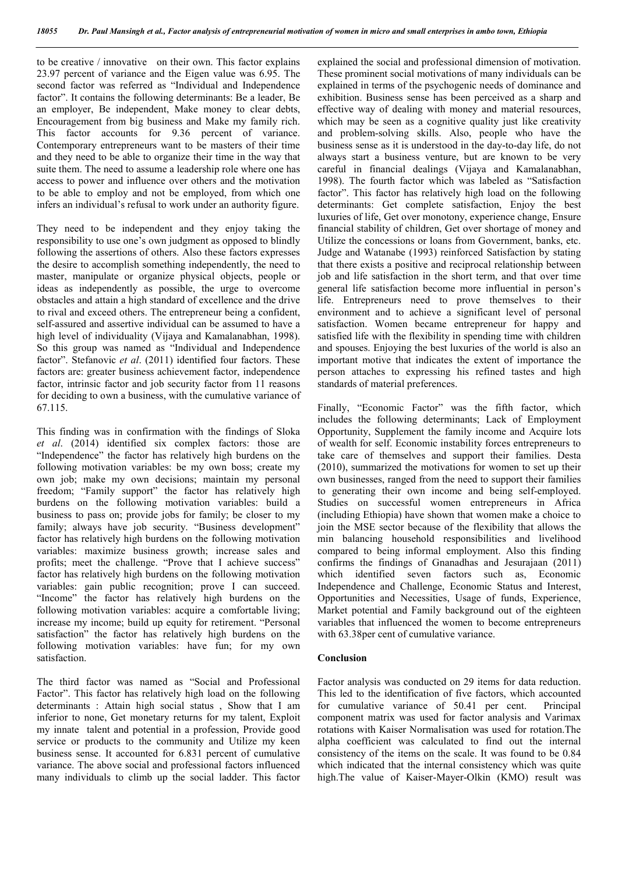to be creative / innovative on their own. This factor explains 23.97 percent of variance and the Eigen value was 6.95. The second factor was referred as "Individual and Independence factor". It contains the following determinants: Be a leader, Be an employer, Be independent, Make money to clear debts, Encouragement from big business and Make my family rich. This factor accounts for 9.36 percent of variance. Contemporary entrepreneurs want to be masters of their time and they need to be able to organize their time in the way that suite them. The need to assume a leadership role where one has access to power and influence over others and the motivation to be able to employ and not be employed, from which one infers an individual's refusal to work under an authority figure.

They need to be independent and they enjoy taking the responsibility to use one's own judgment as opposed to blindly following the assertions of others. Also these factors expresses the desire to accomplish something independently, the need to master, manipulate or organize physical objects, people or ideas as independently as possible, the urge to overcome obstacles and attain a high standard of excellence and the drive to rival and exceed others. The entrepreneur being a confident, self-assured and assertive individual can be assumed to have a high level of individuality (Vijaya and Kamalanabhan, 1998). So this group was named as "Individual and Independence factor". Stefanovic *et al*. (2011) identified four factors. These factors are: greater business achievement factor, independence factor, intrinsic factor and job security factor from 11 reasons for deciding to own a business, with the cumulative variance of 67.115.

This finding was in confirmation with the findings of Sloka *et al*. (2014) identified six complex factors: those are "Independence" the factor has relatively high burdens on the following motivation variables: be my own boss; create my own job; make my own decisions; maintain my personal freedom; "Family support" the factor has relatively high burdens on the following motivation variables: build a business to pass on; provide jobs for family; be closer to my family; always have job security. "Business development" factor has relatively high burdens on the following motivation variables: maximize business growth; increase sales and profits; meet the challenge. "Prove that I achieve success" factor has relatively high burdens on the following motivation variables: gain public recognition; prove I can succeed. "Income" the factor has relatively high burdens on the following motivation variables: acquire a comfortable living; increase my income; build up equity for retirement. "Personal satisfaction" the factor has relatively high burdens on the following motivation variables: have fun; for my own satisfaction.

The third factor was named as "Social and Professional Factor". This factor has relatively high load on the following determinants : Attain high social status , Show that I am inferior to none, Get monetary returns for my talent, Exploit my innate talent and potential in a profession, Provide good service or products to the community and Utilize my keen business sense. It accounted for 6.831 percent of cumulative variance. The above social and professional factors influenced many individuals to climb up the social ladder. This factor explained the social and professional dimension of motivation. These prominent social motivations of many individuals can be explained in terms of the psychogenic needs of dominance and exhibition. Business sense has been perceived as a sharp and effective way of dealing with money and material resources, which may be seen as a cognitive quality just like creativity and problem-solving skills. Also, people who have the business sense as it is understood in the day-to-day life, do not always start a business venture, but are known to be very careful in financial dealings (Vijaya and Kamalanabhan, 1998). The fourth factor which was labeled as "Satisfaction factor". This factor has relatively high load on the following determinants: Get complete satisfaction, Enjoy the best luxuries of life, Get over monotony, experience change, Ensure financial stability of children, Get over shortage of money and Utilize the concessions or loans from Government, banks, etc. Judge and Watanabe (1993) reinforced Satisfaction by stating that there exists a positive and reciprocal relationship between job and life satisfaction in the short term, and that over time general life satisfaction become more influential in person's life. Entrepreneurs need to prove themselves to their environment and to achieve a significant level of personal satisfaction. Women became entrepreneur for happy and satisfied life with the flexibility in spending time with children and spouses. Enjoying the best luxuries of the world is also an important motive that indicates the extent of importance the person attaches to expressing his refined tastes and high standards of material preferences.

Finally, "Economic Factor" was the fifth factor, which includes the following determinants; Lack of Employment Opportunity, Supplement the family income and Acquire lots of wealth for self. Economic instability forces entrepreneurs to take care of themselves and support their families. Desta (2010), summarized the motivations for women to set up their own businesses, ranged from the need to support their families to generating their own income and being self-employed. Studies on successful women entrepreneurs in Africa (including Ethiopia) have shown that women make a choice to join the MSE sector because of the flexibility that allows the min balancing household responsibilities and livelihood compared to being informal employment. Also this finding confirms the findings of Gnanadhas and Jesurajaan (2011) which identified seven factors such as, Economic Independence and Challenge, Economic Status and Interest, Opportunities and Necessities, Usage of funds, Experience, Market potential and Family background out of the eighteen variables that influenced the women to become entrepreneurs with 63.38 per cent of cumulative variance.

#### **Conclusion**

Factor analysis was conducted on 29 items for data reduction. This led to the identification of five factors, which accounted for cumulative variance of 50.41 per cent. Principal component matrix was used for factor analysis and Varimax rotations with Kaiser Normalisation was used for rotation.The alpha coefficient was calculated to find out the internal consistency of the items on the scale. It was found to be 0.84 which indicated that the internal consistency which was quite high.The value of Kaiser-Mayer-Olkin (KMO) result was